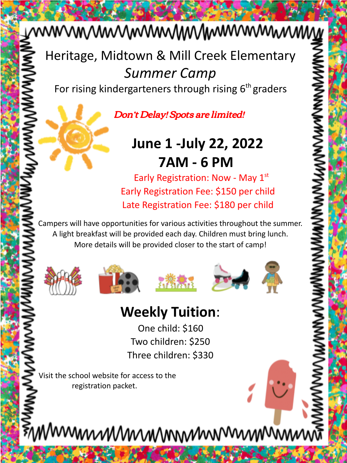# wwwwwwwwwwwwwwwww

Heritage, Midtown & Mill Creek Elementary *Summer Camp*

For rising kindergarteners through rising  $6<sup>th</sup>$  graders

Don't Delay! Spots are limited!

## **June 1 -July 22, 2022 7AM - 6 PM**

Early Registration: Now - May  $1<sup>st</sup>$ Early Registration Fee: \$150 per child Late Registration Fee: \$180 per child

Campers will have opportunities for various activities throughout the summer. A light breakfast will be provided each day. Children must bring lunch. More details will be provided closer to the start of camp!









## **Weekly Tuition**:

One child: \$160 Two children: \$250 Three children: \$330

Visit the school website for access to the registration packet.

≸ิพพพพพพพพพพพพพพพพพพพพ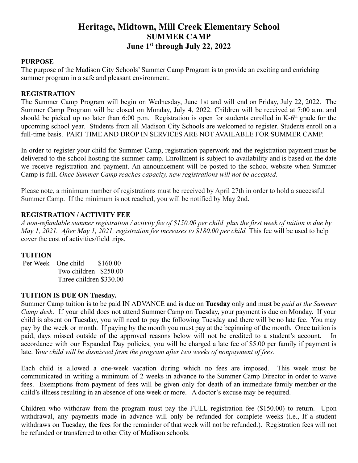### **Heritage, Midtown, Mill Creek Elementary School SUMMER CAMP June 1st through July 22, 2022**

#### **PURPOSE**

The purpose of the Madison City Schools' Summer Camp Program is to provide an exciting and enriching summer program in a safe and pleasant environment.

#### **REGISTRATION**

The Summer Camp Program will begin on Wednesday, June 1st and will end on Friday, July 22, 2022. The Summer Camp Program will be closed on Monday, July 4, 2022. Children will be received at 7:00 a.m. and should be picked up no later than 6:00 p.m. Registration is open for students enrolled in  $K-6<sup>th</sup>$  grade for the upcoming school year. Students from all Madison City Schools are welcomed to register. Students enroll on a full-time basis. PART TIME AND DROP IN SERVICES ARE NOT AVAILABLE FOR SUMMER CAMP.

In order to register your child for Summer Camp, registration paperwork and the registration payment must be delivered to the school hosting the summer camp. Enrollment is subject to availability and is based on the date we receive registration and payment. An announcement will be posted to the school website when Summer Camp is full. *Once Summer Camp reaches capacity, new registrations will not be accepted.*

Please note, a minimum number of registrations must be received by April 27th in order to hold a successful Summer Camp. If the minimum is not reached, you will be notified by May 2nd.

#### **REGISTRATION / ACTIVITY FEE**

*A non-refundable summer registration / activity fee of \$150.00 per child plus the first week of tuition is due by May 1, 2021. After May 1, 2021, registration fee increases to \$180.00 per child.* This fee will be used to help cover the cost of activities/field trips.

#### **TUITION**

Per Week One child \$160.00 Two children \$250.00 Three children \$330.00

#### **TUITION IS DUE ON Tuesday.**

Summer Camp tuition is to be paid IN ADVANCE and is due on **Tuesday** only and must be *paid at the Summer Camp desk*. If your child does not attend Summer Camp on Tuesday, your payment is due on Monday. If your child is absent on Tuesday, you will need to pay the following Tuesday and there will be no late fee. You may pay by the week or month. If paying by the month you must pay at the beginning of the month. Once tuition is paid, days missed outside of the approved reasons below will not be credited to a student's account. In accordance with our Expanded Day policies, you will be charged a late fee of \$5.00 per family if payment is late. *Your child will be dismissed from the program after two weeks of nonpayment of fees.*

Each child is allowed a one-week vacation during which no fees are imposed. This week must be communicated in writing a minimum of 2 weeks in advance to the Summer Camp Director in order to waive fees. Exemptions from payment of fees will be given only for death of an immediate family member or the child's illness resulting in an absence of one week or more. A doctor's excuse may be required.

Children who withdraw from the program must pay the FULL registration fee (\$150.00) to return. Upon withdrawal, any payments made in advance will only be refunded for complete weeks (i.e., If a student withdraws on Tuesday, the fees for the remainder of that week will not be refunded.). Registration fees will not be refunded or transferred to other City of Madison schools.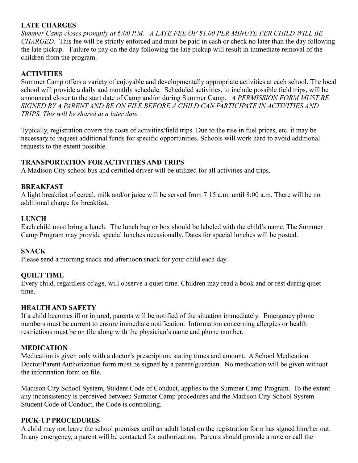#### **LATE CHARGES**

*Summer Camp closes promptly at 6:00 P.M. A LATE FEE OF \$1.00 PER MINUTE PER CHILD WILL BE CHARGED.* This fee will be strictly enforced and must be paid in cash or check no later than the day following the late pickup. Failure to pay on the day following the late pickup will result in immediate removal of the children from the program.

#### **ACTIVITIES**

Summer Camp offers a variety of enjoyable and developmentally appropriate activities at each school. The local school will provide a daily and monthly schedule. Scheduled activities, to include possible field trips, will be announced closer to the start date of Camp and/or during Summer Camp. *A PERMISSION FORM MUST BE SIGNED BY A PARENT AND BE ON FILE BEFORE A CHILD CAN PARTICIPATE IN ACTIVITIES AND TRIPS. This will be shared at a later date.*

Typically, registration covers the costs of activities/field trips. Due to the rise in fuel prices, etc. it may be necessary to request additional funds for specific opportunities. Schools will work hard to avoid additional requests to the extent possible.

#### **TRANSPORTATION FOR ACTIVITIES AND TRIPS**

A Madison City school bus and certified driver will be utilized for all activities and trips.

#### **BREAKFAST**

A light breakfast of cereal, milk and/or juice will be served from 7:15 a.m. until 8:00 a.m. There will be no additional charge for breakfast.

#### **LUNCH**

Each child must bring a lunch. The lunch bag or box should be labeled with the child's name. The Summer Camp Program may provide special lunches occasionally. Dates for special lunches will be posted.

#### **SNACK**

Please send a morning snack and afternoon snack for your child each day.

#### **QUIET TIME**

Every child, regardless of age, will observe a quiet time. Children may read a book and or rest during quiet time.

#### **HEALTH AND SAFETY**

If a child becomes ill or injured, parents will be notified of the situation immediately. Emergency phone numbers must be current to ensure immediate notification. Information concerning allergies or health restrictions must be on file along with the physician's name and phone number.

#### **MEDICATION**

Medication is given only with a doctor's prescription, stating times and amount. A School Medication Doctor/Parent Authorization form must be signed by a parent/guardian. No medication will be given without the information form on file.

Madison City School System, Student Code of Conduct, applies to the Summer Camp Program. To the extent any inconsistency is perceived between Summer Camp procedures and the Madison City School System Student Code of Conduct, the Code is controlling.

#### **PICK-UP PROCEDURES**

A child may not leave the school premises until an adult listed on the registration form has signed him/her out. In any emergency, a parent will be contacted for authorization. Parents should provide a note or call the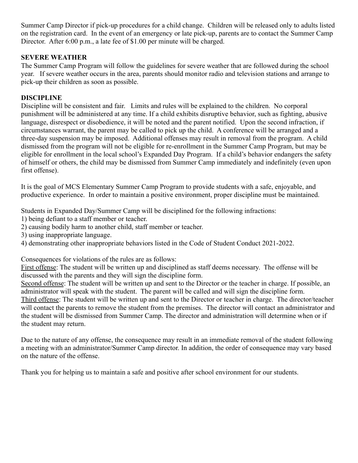Summer Camp Director if pick-up procedures for a child change. Children will be released only to adults listed on the registration card. In the event of an emergency or late pick-up, parents are to contact the Summer Camp Director. After 6:00 p.m., a late fee of \$1.00 per minute will be charged.

#### **SEVERE WEATHER**

The Summer Camp Program will follow the guidelines for severe weather that are followed during the school year. If severe weather occurs in the area, parents should monitor radio and television stations and arrange to pick-up their children as soon as possible.

#### **DISCIPLINE**

Discipline will be consistent and fair. Limits and rules will be explained to the children. No corporal punishment will be administered at any time. If a child exhibits disruptive behavior, such as fighting, abusive language, disrespect or disobedience, it will be noted and the parent notified. Upon the second infraction, if circumstances warrant, the parent may be called to pick up the child. A conference will be arranged and a three-day suspension may be imposed. Additional offenses may result in removal from the program. A child dismissed from the program will not be eligible for re-enrollment in the Summer Camp Program, but may be eligible for enrollment in the local school's Expanded Day Program. If a child's behavior endangers the safety of himself or others, the child may be dismissed from Summer Camp immediately and indefinitely (even upon first offense).

It is the goal of MCS Elementary Summer Camp Program to provide students with a safe, enjoyable, and productive experience. In order to maintain a positive environment, proper discipline must be maintained.

Students in Expanded Day/Summer Camp will be disciplined for the following infractions:

1) being defiant to a staff member or teacher.

2) causing bodily harm to another child, staff member or teacher.

3) using inappropriate language.

4) demonstrating other inappropriate behaviors listed in the Code of Student Conduct 2021-2022.

Consequences for violations of the rules are as follows:

First offense: The student will be written up and disciplined as staff deems necessary. The offense will be discussed with the parents and they will sign the discipline form.

Second offense: The student will be written up and sent to the Director or the teacher in charge. If possible, an administrator will speak with the student. The parent will be called and will sign the discipline form.

Third offense: The student will be written up and sent to the Director or teacher in charge. The director/teacher will contact the parents to remove the student from the premises. The director will contact an administrator and the student will be dismissed from Summer Camp. The director and administration will determine when or if the student may return.

Due to the nature of any offense, the consequence may result in an immediate removal of the student following a meeting with an administrator/Summer Camp director. In addition, the order of consequence may vary based on the nature of the offense.

Thank you for helping us to maintain a safe and positive after school environment for our students.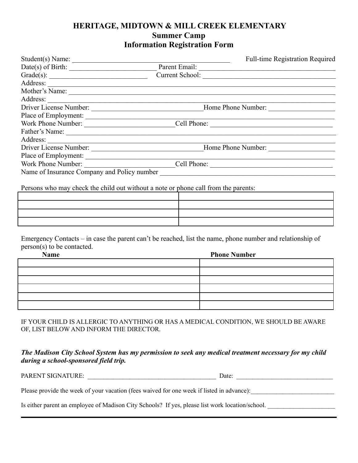#### **HERITAGE, MIDTOWN & MILL CREEK ELEMENTARY Summer Camp Information Registration Form**

| Student(s) Name:                            |                 | <b>Full-time Registration Required</b> |
|---------------------------------------------|-----------------|----------------------------------------|
|                                             | Parent Email:   |                                        |
| Grade(s): $\qquad \qquad$                   | Current School: |                                        |
| Address:                                    |                 |                                        |
| Mother's Name:                              |                 |                                        |
| Address:                                    |                 |                                        |
| Driver License Number:                      |                 | Home Phone Number:                     |
| Place of Employment:                        |                 |                                        |
| Work Phone Number:                          |                 | Cell Phone:                            |
| Father's Name:                              |                 |                                        |
| Address:                                    |                 |                                        |
| Driver License Number:                      |                 | Home Phone Number:                     |
| Place of Employment:                        |                 |                                        |
| Work Phone Number:                          |                 | Cell Phone:                            |
| Name of Insurance Company and Policy number |                 |                                        |
|                                             |                 |                                        |

Persons who may check the child out without a note or phone call from the parents:

| .<br>. |
|--------|
|        |
|        |
|        |
|        |

Emergency Contacts – in case the parent can't be reached, list the name, phone number and relationship of person(s) to be contacted.

| <b>Name</b> | <b>Phone Number</b> |  |
|-------------|---------------------|--|
|             |                     |  |
|             |                     |  |
|             |                     |  |
|             |                     |  |
|             |                     |  |
|             |                     |  |

IF YOUR CHILD IS ALLERGIC TO ANYTHING OR HAS A MEDICAL CONDITION, WE SHOULD BE AWARE OF, LIST BELOW AND INFORM THE DIRECTOR.

#### *The Madison City School System has my permission to seek any medical treatment necessary for my child during a school-sponsored field trip.*

PARENT SIGNATURE: Date: Please provide the week of your vacation (fees waived for one week if listed in advance):

Is either parent an employee of Madison City Schools? If yes, please list work location/school.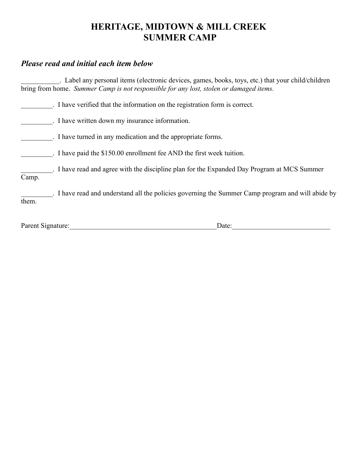### **HERITAGE, MIDTOWN & MILL CREEK SUMMER CAMP**

#### *Please read and initial each item below*

\_\_\_\_\_\_\_\_\_\_\_. Label any personal items (electronic devices, games, books, toys, etc.) that your child/children bring from home. *Summer Camp is not responsible for any lost, stolen or damaged items.*

\_\_\_\_\_\_\_\_\_. I have verified that the information on the registration form is correct.

\_\_\_\_\_\_\_\_\_. I have written down my insurance information.

\_\_\_\_\_\_\_\_\_. I have turned in any medication and the appropriate forms.

\_\_\_\_\_\_\_\_\_. I have paid the \$150.00 enrollment fee AND the first week tuition.

\_\_\_\_\_\_\_\_\_. I have read and agree with the discipline plan for the Expanded Day Program at MCS Summer Camp.

\_\_\_\_\_\_\_\_\_. I have read and understand all the policies governing the Summer Camp program and will abide by them.

Parent Signature:\_\_\_\_\_\_\_\_\_\_\_\_\_\_\_\_\_\_\_\_\_\_\_\_\_\_\_\_\_\_\_\_\_\_\_\_\_\_\_\_\_\_Date:\_\_\_\_\_\_\_\_\_\_\_\_\_\_\_\_\_\_\_\_\_\_\_\_\_\_\_\_